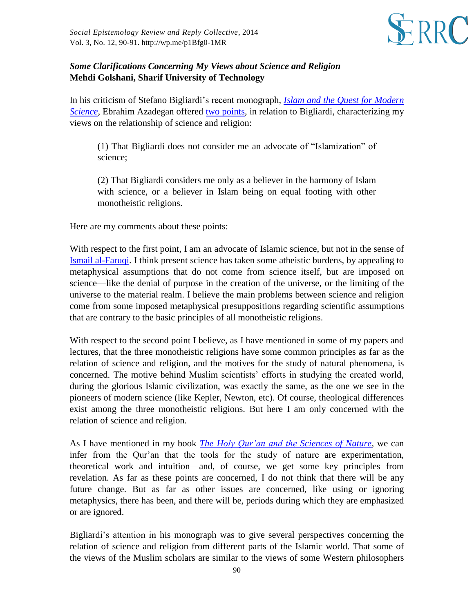

## *Some Clarifications Concerning My Views about Science and Religion* **Mehdi Golshani, Sharif University of Technology**

In his criticism of Stefano Bigliardi's recent monograph, *[Islam and the Quest for Modern](http://srii.bokorder.se/en-US/Book/2625/islam-and-the-quest-for-modern-science)  [Science](http://srii.bokorder.se/en-US/Book/2625/islam-and-the-quest-for-modern-science)*, Ebrahim Azadegan offered [two points,](http://wp.me/p1Bfg0-1D5) in relation to Bigliardi, characterizing my views on the relationship of science and religion:

(1) That Bigliardi does not consider me an advocate of "Islamization" of science;

(2) That Bigliardi considers me only as a believer in the harmony of Islam with science, or a believer in Islam being on equal footing with other monotheistic religions.

Here are my comments about these points:

With respect to the first point, I am an advocate of Islamic science, but not in the sense of [Ismail al-Faruqi.](http://en.wikipedia.org/wiki/Ismail_al-Faruqi) I think present science has taken some atheistic burdens, by appealing to metaphysical assumptions that do not come from science itself, but are imposed on science—like the denial of purpose in the creation of the universe, or the limiting of the universe to the material realm. I believe the main problems between science and religion come from some imposed metaphysical presuppositions regarding scientific assumptions that are contrary to the basic principles of all monotheistic religions.

With respect to the second point I believe, as I have mentioned in some of my papers and lectures, that the three monotheistic religions have some common principles as far as the relation of science and religion, and the motives for the study of natural phenomena, is concerned. The motive behind Muslim scientists' efforts in studying the created world, during the glorious Islamic civilization, was exactly the same, as the one we see in the pioneers of modern science (like Kepler, Newton, etc). Of course, theological differences exist among the three monotheistic religions. But here I am only concerned with the relation of science and religion.

As I have mentioned in my book *[The Holy Qur'an and the Sciences of Nature](http://www.issrlibrary.org/the-library/book/?title=The%20Holy%20Qur%27an%20and%20the%20Sciences%20of%20Nature&ref=essay)*, we can infer from the Qur'an that the tools for the study of nature are experimentation, theoretical work and intuition—and, of course, we get some key principles from revelation. As far as these points are concerned, I do not think that there will be any future change. But as far as other issues are concerned, like using or ignoring metaphysics, there has been, and there will be, periods during which they are emphasized or are ignored.

Bigliardi's attention in his monograph was to give several perspectives concerning the relation of science and religion from different parts of the Islamic world. That some of the views of the Muslim scholars are similar to the views of some Western philosophers